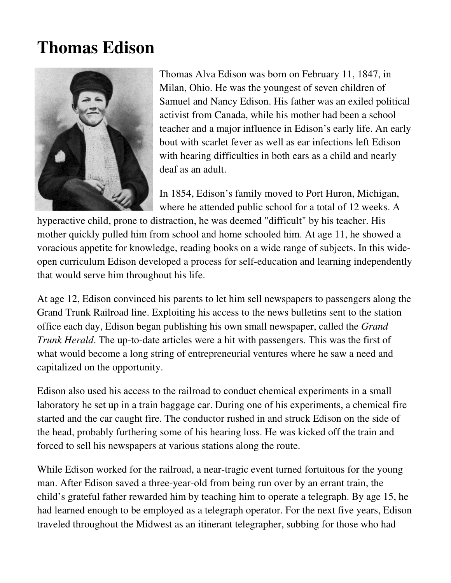## **Thomas Edison**



Thomas Alva Edison was born on February 11, 1847, in Milan, Ohio. He was the youngest of seven children of Samuel and Nancy Edison. His father was an exiled political activist from Canada, while his mother had been a school teacher and a major influence in Edison's early life. An early bout with scarlet fever as well as ear infections left Edison with hearing difficulties in both ears as a child and nearly deaf as an adult.

In 1854, Edison's family moved to Port Huron, Michigan, where he attended public school for a total of 12 weeks. A

hyperactive child, prone to distraction, he was deemed "difficult" by his teacher. His mother quickly pulled him from school and home schooled him. At age 11, he showed a voracious appetite for knowledge, reading books on a wide range of subjects. In this wideopen curriculum Edison developed a process for self-education and learning independently that would serve him throughout his life.

At age 12, Edison convinced his parents to let him sell newspapers to passengers along the Grand Trunk Railroad line. Exploiting his access to the news bulletins sent to the station office each day, Edison began publishing his own small newspaper, called the *Grand Trunk Herald*. The up-to-date articles were a hit with passengers. This was the first of what would become a long string of entrepreneurial ventures where he saw a need and capitalized on the opportunity.

Edison also used his access to the railroad to conduct chemical experiments in a small laboratory he set up in a train baggage car. During one of his experiments, a chemical fire started and the car caught fire. The conductor rushed in and struck Edison on the side of the head, probably furthering some of his hearing loss. He was kicked off the train and forced to sell his newspapers at various stations along the route.

While Edison worked for the railroad, a near-tragic event turned fortuitous for the young man. After Edison saved a three-year-old from being run over by an errant train, the child's grateful father rewarded him by teaching him to operate a telegraph. By age 15, he had learned enough to be employed as a telegraph operator. For the next five years, Edison traveled throughout the Midwest as an itinerant telegrapher, subbing for those who had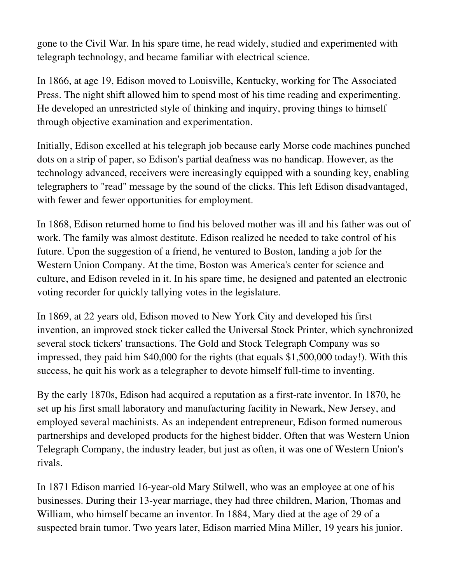gone to the Civil War. In his spare time, he read widely, studied and experimented with telegraph technology, and became familiar with electrical science.

In 1866, at age 19, Edison moved to Louisville, Kentucky, working for The Associated Press. The night shift allowed him to spend most of his time reading and experimenting. He developed an unrestricted style of thinking and inquiry, proving things to himself through objective examination and experimentation.

Initially, Edison excelled at his telegraph job because early Morse code machines punched dots on a strip of paper, so Edison's partial deafness was no handicap. However, as the technology advanced, receivers were increasingly equipped with a sounding key, enabling telegraphers to "read" message by the sound of the clicks. This left Edison disadvantaged, with fewer and fewer opportunities for employment.

In 1868, Edison returned home to find his beloved mother was ill and his father was out of work. The family was almost destitute. Edison realized he needed to take control of his future. Upon the suggestion of a friend, he ventured to Boston, landing a job for the Western Union Company. At the time, Boston was America's center for science and culture, and Edison reveled in it. In his spare time, he designed and patented an electronic voting recorder for quickly tallying votes in the legislature.

In 1869, at 22 years old, Edison moved to New York City and developed his first invention, an improved stock ticker called the Universal Stock Printer, which synchronized several stock tickers' transactions. The Gold and Stock Telegraph Company was so impressed, they paid him \$40,000 for the rights (that equals \$1,500,000 today!). With this success, he quit his work as a telegrapher to devote himself full-time to inventing.

By the early 1870s, Edison had acquired a reputation as a first-rate inventor. In 1870, he set up his first small laboratory and manufacturing facility in Newark, New Jersey, and employed several machinists. As an independent entrepreneur, Edison formed numerous partnerships and developed products for the highest bidder. Often that was Western Union Telegraph Company, the industry leader, but just as often, it was one of Western Union's rivals.

In 1871 Edison married 16-year-old Mary Stilwell, who was an employee at one of his businesses. During their 13-year marriage, they had three children, Marion, Thomas and William, who himself became an inventor. In 1884, Mary died at the age of 29 of a suspected brain tumor. Two years later, Edison married Mina Miller, 19 years his junior.